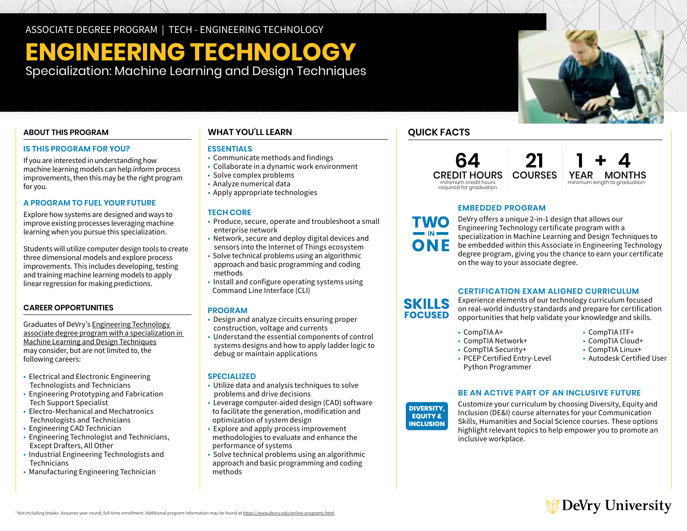ASSOCIATE DEGREE PROGRAM | TECH - ENGINEERING TECHNOLOGY

# **ENGINEERING TECHNOLOGY**

Specialization: Machine Learning and Design Techniques

## **ABOUT THIS PROGRAM**

## **IS THIS PROGRAM FOR YOU?**

If you are interested in understanding how machine learning models can help inform process improvements, then this may be the right program for you.

## **A PROGRAM TO FUEL YOUR FUTURE**

Explore how systems are designed and ways to improve existing processes leveraging machine learning when you pursue this specialization.

Students will utilize computer design tools to create three dimensional models and explore process improvements. This includes developing, testing and training machine learning models to apply linear regression for making predictions.

## **CAREER OPPORTUNITIES**

Graduates of DeVry's [Engineering Technology](https://www.devry.edu/associate-degrees/engineering-technology/machine-learning-design-specialization.html)  [associate degree program with a specialization in](https://www.devry.edu/associate-degrees/engineering-technology/machine-learning-design-specialization.html)  [Machine Learning and Design Techniques](https://www.devry.edu/associate-degrees/engineering-technology/machine-learning-design-specialization.html) may consider, but are not limited to, the following careers:

- Electrical and Electronic Engineering Technologists and Technicians
- Engineering Prototyping and Fabrication Tech Support Specialist
- Electro-Mechanical and Mechatronics Technologists and Technicians
- Engineering CAD Technician
- Engineering Technologist and Technicians, Except Drafters, All Other
- Industrial Engineering Technologists and Technicians
- Manufacturing Engineering Technician

## **WHAT YOU'LL LEARN**

## **ESSENTIALS**

- Communicate methods and findings
- Collaborate in a dynamic work environment
- Solve complex problems
- Analyze numerical data
- Apply appropriate technologies

## **TECH CORE**

- Produce, secure, operate and troubleshoot a small enterprise network
- Network, secure and deploy digital devices and sensors into the Internet of Things ecosystem
- Solve technical problems using an algorithmic approach and basic programming and coding methods
- Install and configure operating systems using Command Line Interface (CLI)

### **PROGRAM**

- Design and analyze circuits ensuring proper construction, voltage and currents
- Understand the essential components of control systems designs and how to apply ladder logic to debug or maintain applications

## **SPECIALIZED**

- Utilize data and analysis techniques to solve problems and drive decisions
- Leverage computer-aided design (CAD) software to facilitate the generation, modification and optimization of system design
- Explore and apply process improvement methodologies to evaluate and enhance the performance of systems
- Solve technical problems using an algorithmic approach and basic programming and coding methods

## **QUICK FACTS**

**64** CREDIT HOURS minimum credit hours required for graduation



## **EMBEDDED PROGRAM**

DeVry offers a unique 2-in-1 design that allows our Engineering Technology certificate program with a specialization in Machine Learning and Design Techniques to be embedded within this Associate in Engineering Technology degree program, giving you the chance to earn your certificate on the way to your associate degree.

**21**

## **CERTIFICATION EXAM ALIGNED CURRICULUM**

Experience elements of our technology curriculum focused **SKILLS** on real-world industry standards and prepare for certification **FOCUSED** opportunities that help validate your knowledge and skills.

- 
- $\cdot$  CompTIA Network+
- 
- CompTIA A+ CompTIA ITF+
	-
	-
- PCEP Certified Entry-Level Python Programmer
	-
- 
- 
- CompTIA Security+ CompTIA Linux+<br>• PCEP Certified Entry-Level Autodesk Certified User

## **BE AN ACTIVE PART OF AN INCLUSIVE FUTURE**



Customize your curriculum by choosing Diversity, Equity and Inclusion (DE&I) course alternates for your Communication Skills, Humanities and Social Science courses. These options highlight relevant topics to help empower you to promote an inclusive workplace.

## **DeVry University**